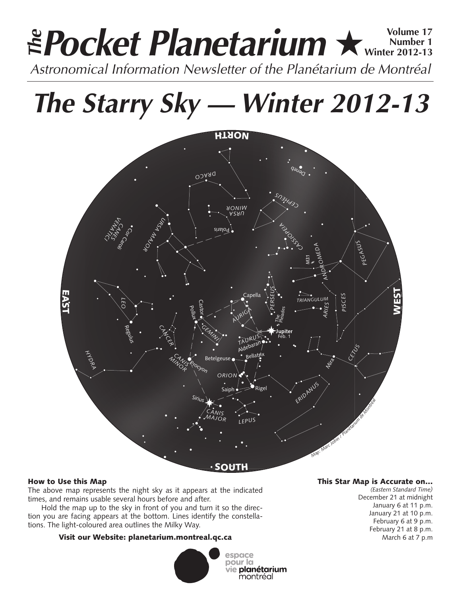# **Pocket Planetarium ★ Winter 2012-13 Number 1 Winter 2012-13** Astronomical Information Newsletter of the Planétarium de Montréal **The**

**The Starry Sky — Winter 2012-13**



# How to Use this Map

The above map represents the night sky as it appears at the indicated times, and remains usable several hours before and after.

Hold the map up to the sky in front of you and turn it so the direction you are facing appears at the bottom. Lines identify the constellations. The light-coloured area outlines the Milky Way.

# Visit our Website: planetarium.montreal.qc.ca



### This Star Map is Accurate on…

*(Eastern Standard Time)* December 21 at midnight January 6 at 11 p.m. January 21 at 10 p.m. February 6 at 9 p.m. February 21 at 8 p.m. March 6 at 7 p.m